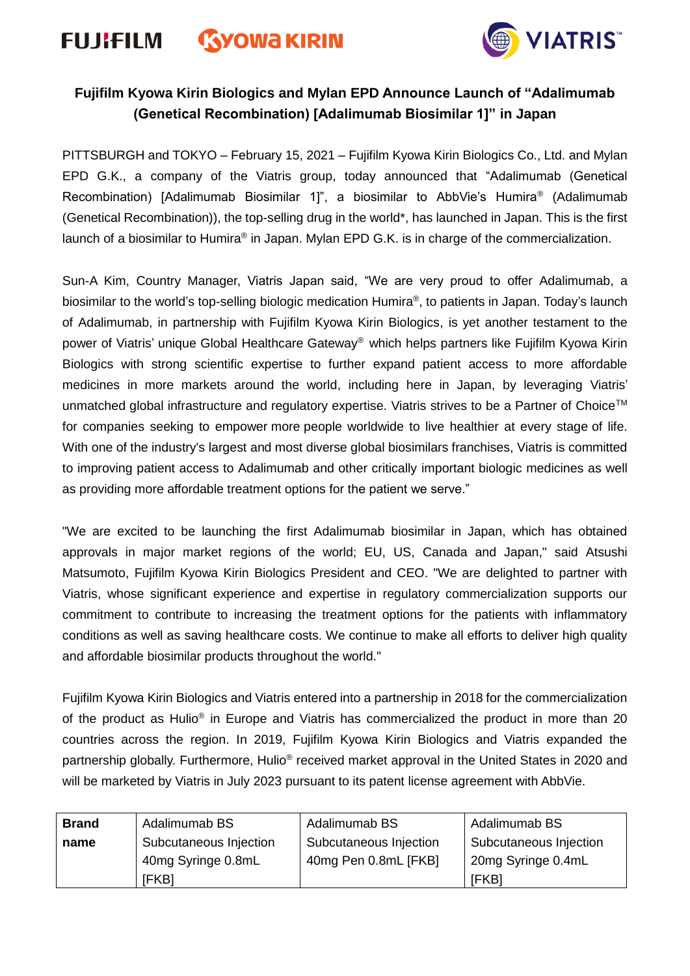# **FUJIFILM GYOWA KIRIN**



# **Fujifilm Kyowa Kirin Biologics and Mylan EPD Announce Launch of "Adalimumab (Genetical Recombination) [Adalimumab Biosimilar 1]" in Japan**

PITTSBURGH and TOKYO – February 15, 2021 – Fujifilm Kyowa Kirin Biologics Co., Ltd. and Mylan EPD G.K., a company of the Viatris group, today announced that "Adalimumab (Genetical Recombination) [Adalimumab Biosimilar 1]", a biosimilar to AbbVie's Humira® (Adalimumab (Genetical Recombination)), the top-selling drug in the world\*, has launched in Japan. This is the first launch of a biosimilar to Humira® in Japan. Mylan EPD G.K. is in charge of the commercialization.

Sun-A Kim, Country Manager, Viatris Japan said, "We are very proud to offer Adalimumab, a biosimilar to the world's top-selling biologic medication Humira® , to patients in Japan. Today's launch of Adalimumab, in partnership with Fujifilm Kyowa Kirin Biologics, is yet another testament to the power of Viatris' unique Global Healthcare Gateway® which helps partners like Fujifilm Kyowa Kirin Biologics with strong scientific expertise to further expand patient access to more affordable medicines in more markets around the world, including here in Japan, by leveraging Viatris' unmatched global infrastructure and regulatory expertise. Viatris strives to be a Partner of Choice™ for companies seeking to empower more people worldwide to live healthier at every stage of life. With one of the industry's largest and most diverse global biosimilars franchises, Viatris is committed to improving patient access to Adalimumab and other critically important biologic medicines as well as providing more affordable treatment options for the patient we serve."

"We are excited to be launching the first Adalimumab biosimilar in Japan, which has obtained approvals in major market regions of the world; EU, US, Canada and Japan," said Atsushi Matsumoto, Fujifilm Kyowa Kirin Biologics President and CEO. "We are delighted to partner with Viatris, whose significant experience and expertise in regulatory commercialization supports our commitment to contribute to increasing the treatment options for the patients with inflammatory conditions as well as saving healthcare costs. We continue to make all efforts to deliver high quality and affordable biosimilar products throughout the world."

Fujifilm Kyowa Kirin Biologics and Viatris entered into a partnership in 2018 for the commercialization of the product as Hulio<sup>®</sup> in Europe and Viatris has commercialized the product in more than 20 countries across the region. In 2019, Fujifilm Kyowa Kirin Biologics and Viatris expanded the partnership globally. Furthermore, Hulio® received market approval in the United States in 2020 and will be marketed by Viatris in July 2023 pursuant to its patent license agreement with AbbVie.

| <b>Brand</b> | Adalimumab BS          | Adalimumab BS          | Adalimumab BS          |
|--------------|------------------------|------------------------|------------------------|
| name         | Subcutaneous Injection | Subcutaneous Injection | Subcutaneous Injection |
|              | 40mg Syringe 0.8mL     | 40mg Pen 0.8mL [FKB]   | 20mg Syringe 0.4mL     |
|              | [FKB]                  |                        | <b>IFKBI</b>           |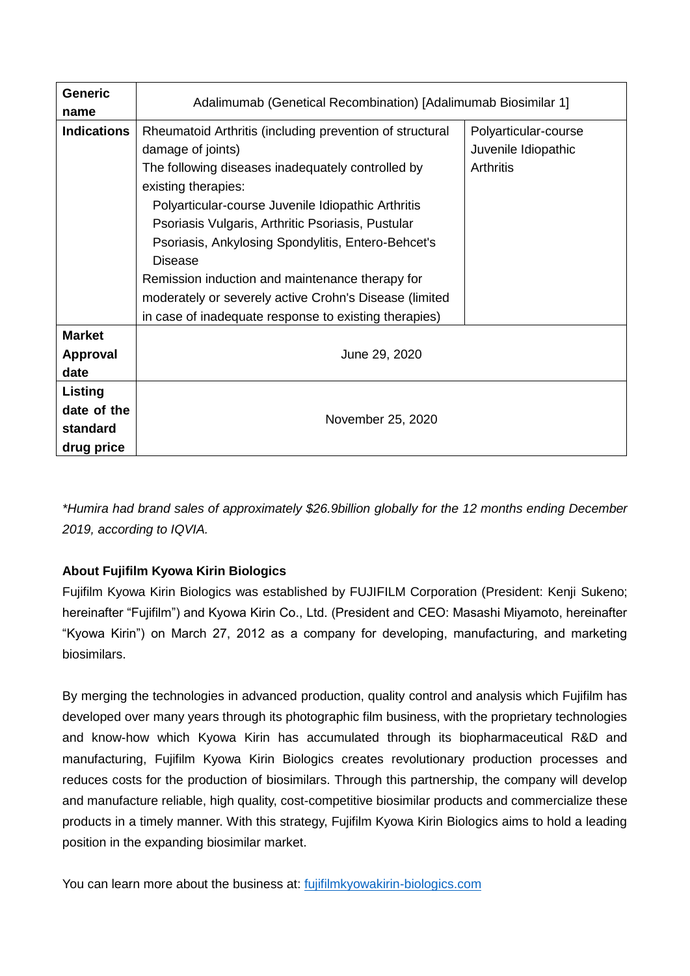| <b>Generic</b>     |                                                                |                      |  |  |
|--------------------|----------------------------------------------------------------|----------------------|--|--|
| name               | Adalimumab (Genetical Recombination) [Adalimumab Biosimilar 1] |                      |  |  |
| <b>Indications</b> | Rheumatoid Arthritis (including prevention of structural       | Polyarticular-course |  |  |
|                    | damage of joints)                                              | Juvenile Idiopathic  |  |  |
|                    | The following diseases inadequately controlled by              | <b>Arthritis</b>     |  |  |
|                    | existing therapies:                                            |                      |  |  |
|                    | Polyarticular-course Juvenile Idiopathic Arthritis             |                      |  |  |
|                    | Psoriasis Vulgaris, Arthritic Psoriasis, Pustular              |                      |  |  |
|                    | Psoriasis, Ankylosing Spondylitis, Entero-Behcet's             |                      |  |  |
|                    | <b>Disease</b>                                                 |                      |  |  |
|                    | Remission induction and maintenance therapy for                |                      |  |  |
|                    | moderately or severely active Crohn's Disease (limited         |                      |  |  |
|                    | in case of inadequate response to existing therapies)          |                      |  |  |
| <b>Market</b>      |                                                                |                      |  |  |
| <b>Approval</b>    | June 29, 2020                                                  |                      |  |  |
| date               |                                                                |                      |  |  |
| Listing            |                                                                |                      |  |  |
| date of the        | November 25, 2020                                              |                      |  |  |
| standard           |                                                                |                      |  |  |
| drug price         |                                                                |                      |  |  |

*\*Humira had brand sales of approximately \$26.9billion globally for the 12 months ending December 2019, according to IQVIA.*

## **About Fujifilm Kyowa Kirin Biologics**

Fujifilm Kyowa Kirin Biologics was established by FUJIFILM Corporation (President: Kenji Sukeno; hereinafter "Fujifilm") and Kyowa Kirin Co., Ltd. (President and CEO: Masashi Miyamoto, hereinafter "Kyowa Kirin") on March 27, 2012 as a company for developing, manufacturing, and marketing biosimilars.

By merging the technologies in advanced production, quality control and analysis which Fujifilm has developed over many years through its photographic film business, with the proprietary technologies and know-how which Kyowa Kirin has accumulated through its biopharmaceutical R&D and manufacturing, Fujifilm Kyowa Kirin Biologics creates revolutionary production processes and reduces costs for the production of biosimilars. Through this partnership, the company will develop and manufacture reliable, high quality, cost-competitive biosimilar products and commercialize these products in a timely manner. With this strategy, Fujifilm Kyowa Kirin Biologics aims to hold a leading position in the expanding biosimilar market.

You can learn more about the business at: [fujifilmkyowakirin-biologics.com](http://fujifilmkyowakirin-biologics.com/en/index.html)